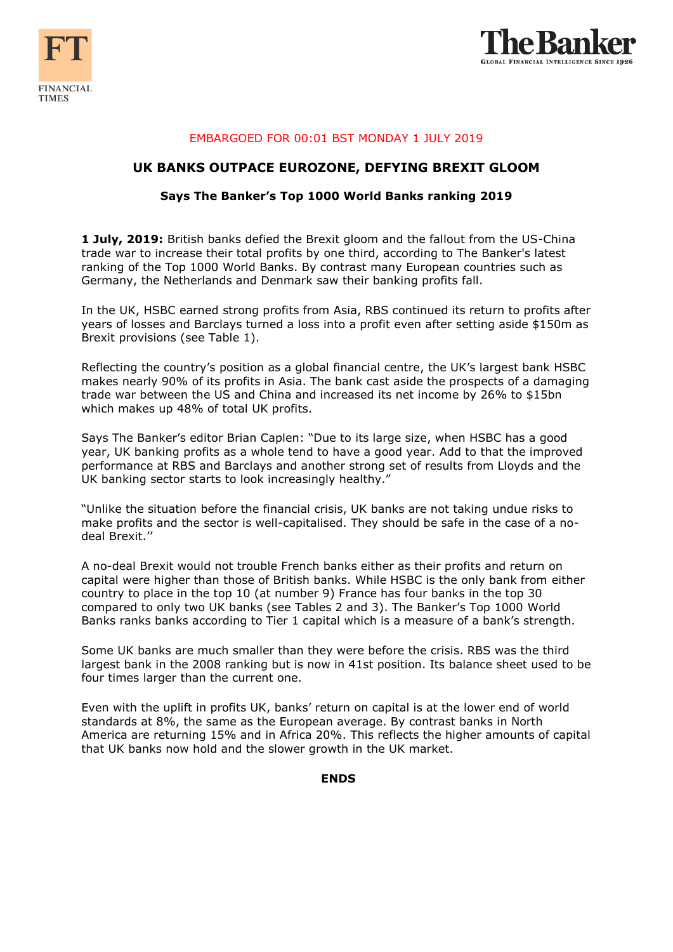



## EMBARGOED FOR 00:01 BST MONDAY 1 JULY 2019

## **UK BANKS OUTPACE EUROZONE, DEFYING BREXIT GLOOM**

#### **Says The Banker's Top 1000 World Banks ranking 2019**

**1 July, 2019:** British banks defied the Brexit gloom and the fallout from the US-China trade war to increase their total profits by one third, according to The Banker's latest ranking of the Top 1000 World Banks. By contrast many European countries such as Germany, the Netherlands and Denmark saw their banking profits fall.

In the UK, HSBC earned strong profits from Asia, RBS continued its return to profits after years of losses and Barclays turned a loss into a profit even after setting aside \$150m as Brexit provisions (see Table 1).

Reflecting the country's position as a global financial centre, the UK's largest bank HSBC makes nearly 90% of its profits in Asia. The bank cast aside the prospects of a damaging trade war between the US and China and increased its net income by 26% to \$15bn which makes up 48% of total UK profits.

Says The Banker's editor Brian Caplen: "Due to its large size, when HSBC has a good year, UK banking profits as a whole tend to have a good year. Add to that the improved performance at RBS and Barclays and another strong set of results from Lloyds and the UK banking sector starts to look increasingly healthy."

"Unlike the situation before the financial crisis, UK banks are not taking undue risks to make profits and the sector is well-capitalised. They should be safe in the case of a nodeal Brexit.''

A no-deal Brexit would not trouble French banks either as their profits and return on capital were higher than those of British banks. While HSBC is the only bank from either country to place in the top 10 (at number 9) France has four banks in the top 30 compared to only two UK banks (see Tables 2 and 3). The Banker's Top 1000 World Banks ranks banks according to Tier 1 capital which is a measure of a bank's strength.

Some UK banks are much smaller than they were before the crisis. RBS was the third largest bank in the 2008 ranking but is now in 41st position. Its balance sheet used to be four times larger than the current one.

Even with the uplift in profits UK, banks' return on capital is at the lower end of world standards at 8%, the same as the European average. By contrast banks in North America are returning 15% and in Africa 20%. This reflects the higher amounts of capital that UK banks now hold and the slower growth in the UK market.

### **ENDS**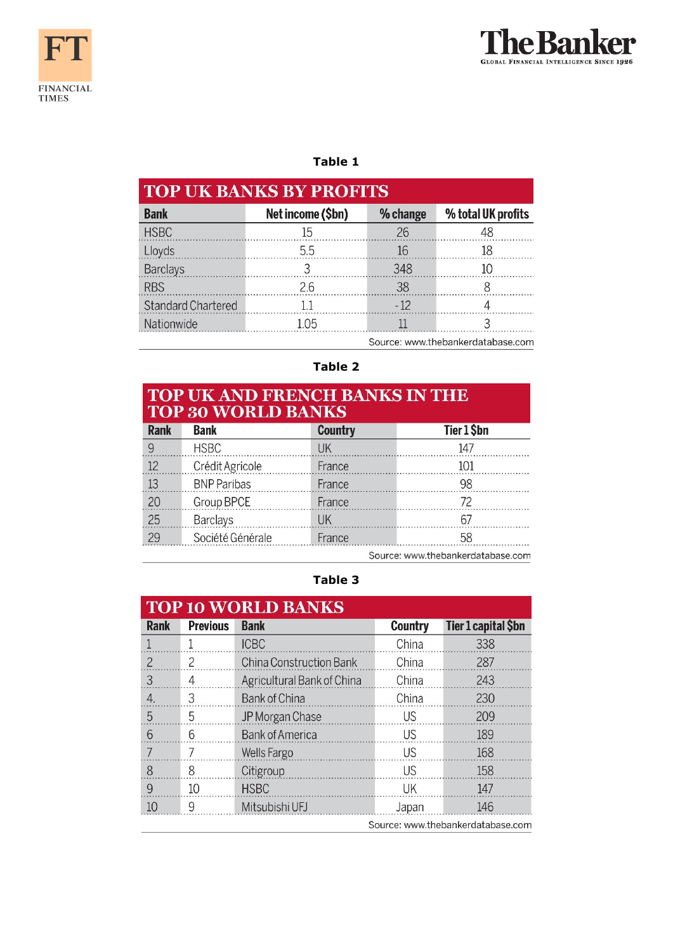



# **Table 1**

| <b>TOP UK BANKS BY PROFITS</b>    |                   |          |                    |  |  |  |
|-----------------------------------|-------------------|----------|--------------------|--|--|--|
| <b>Bank</b>                       | Net income (\$bn) | % change | % total UK profits |  |  |  |
| <b>HSBC</b>                       | 15                | 26       |                    |  |  |  |
| Lloyds                            | 5.5               | 16       |                    |  |  |  |
| <b>Barclays</b>                   |                   | 348      |                    |  |  |  |
| <b>RBS</b>                        | 26                | 38       |                    |  |  |  |
| Standard Chartered                | -1.1              | $-12$    |                    |  |  |  |
| Nationwide                        | 1.05              |          |                    |  |  |  |
| Source: www.thebankerdatabase.com |                   |          |                    |  |  |  |

# **Table 2**

# TOP UK AND FRENCH BANKS IN THE TOP 30 WORLD BANKS

| <b>Rank</b> | <b>Bank</b>        | <b>Country</b> | Tier 1 \$bn                       |  |  |  |  |
|-------------|--------------------|----------------|-----------------------------------|--|--|--|--|
|             | <b>HSBC</b>        |                | 147                               |  |  |  |  |
| 12          | Crédit Agricole    | France         |                                   |  |  |  |  |
| 13          | <b>BNP Paribas</b> | France         | 98                                |  |  |  |  |
| 20          | Group BPCE         | France         |                                   |  |  |  |  |
| 25          | <b>Barclays</b>    | <b>IIK</b>     | h,                                |  |  |  |  |
| 29          | Société Générale   | France         | 58                                |  |  |  |  |
|             |                    |                | Source: www.thebankerdatabase.com |  |  |  |  |

**Table 3**

| <b>TOP 10 WORLD BANKS</b>         |                 |                            |                |                     |  |  |
|-----------------------------------|-----------------|----------------------------|----------------|---------------------|--|--|
| <b>Rank</b>                       | <b>Previous</b> | <b>Bank</b>                | <b>Country</b> | Tier 1 capital \$bn |  |  |
|                                   |                 | <b>ICBC</b>                | China          | 338                 |  |  |
| $\mathcal{P}$                     | 2               | China Construction Bank    | China          | 287                 |  |  |
| 3                                 | 4               | Agricultural Bank of China | China          | 243                 |  |  |
| $\overline{4}$                    | 3               | <b>Bank of China</b>       | China          | 230                 |  |  |
| 5                                 | 5               | JP Morgan Chase            | <b>US</b>      | 209                 |  |  |
| 6                                 | 6               | <b>Bank of America</b>     | <b>US</b>      | 189                 |  |  |
| 7                                 |                 | <b>Wells Fargo</b>         | <b>US</b>      | 168                 |  |  |
| 8                                 | 8               | Citigroup                  | <b>US</b>      | 158                 |  |  |
| 9                                 | 10              | <b>HSBC</b>                | <b>UK</b>      | 147                 |  |  |
| 10                                | 9               | Mitsubishi UFJ             | Japan          | 146                 |  |  |
| Source: www.thebankerdatabase.com |                 |                            |                |                     |  |  |